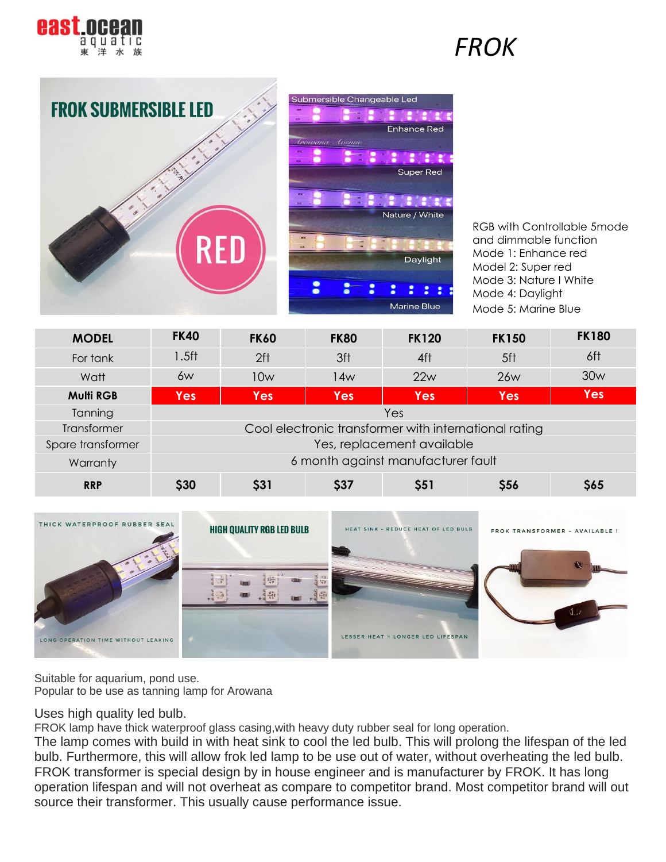

### *FROK*



**B B B B** Enhance Red **E** : : Super Red **REMARK AT** Nature / White Daylight ÷  $\mathbf{r}$ Marine Blue

RGB with Controllable 5mode and dimmable function Mode 1: Enhance red Model 2: Super red Mode 3: Nature I White Mode 4: Daylight Mode 5: Marine Blue

| <b>MODEL</b>      | <b>FK40</b>                        | <b>FK60</b>                                           | <b>FK80</b> | <b>FK120</b> | <b>FK150</b> | <b>FK180</b> |  |  |
|-------------------|------------------------------------|-------------------------------------------------------|-------------|--------------|--------------|--------------|--|--|
| For tank          | $1.5$ ft                           | 2 <sup>ft</sup>                                       | 3ft         | 4ft          | 5ft          | 6ft          |  |  |
| Watt              | 6w                                 | 10w                                                   | 14w         | 22w          | <b>26w</b>   | 30w          |  |  |
| <b>Multi RGB</b>  | <b>Yes</b>                         | <b>Yes</b>                                            | <b>Yes</b>  | <b>Yes</b>   | <b>Yes</b>   | <b>Yes</b>   |  |  |
| Tanning           | Yes                                |                                                       |             |              |              |              |  |  |
| Transformer       |                                    | Cool electronic transformer with international rating |             |              |              |              |  |  |
| Spare transformer | Yes, replacement available         |                                                       |             |              |              |              |  |  |
| Warranty          | 6 month against manufacturer fault |                                                       |             |              |              |              |  |  |
| <b>RRP</b>        | \$30                               | \$31                                                  | \$37        | \$51         | \$56         | \$65         |  |  |



Suitable for aquarium, pond use. Popular to be use as tanning lamp for Arowana

#### Uses high quality led bulb.

FROK lamp have thick waterproof glass casing,with heavy duty rubber seal for long operation.

The lamp comes with build in with heat sink to cool the led bulb. This will prolong the lifespan of the led bulb. Furthermore, this will allow frok led lamp to be use out of water, without overheating the led bulb. FROK transformer is special design by in house engineer and is manufacturer by FROK. It has long operation lifespan and will not overheat as compare to competitor brand. Most competitor brand will out source their transformer. This usually cause performance issue.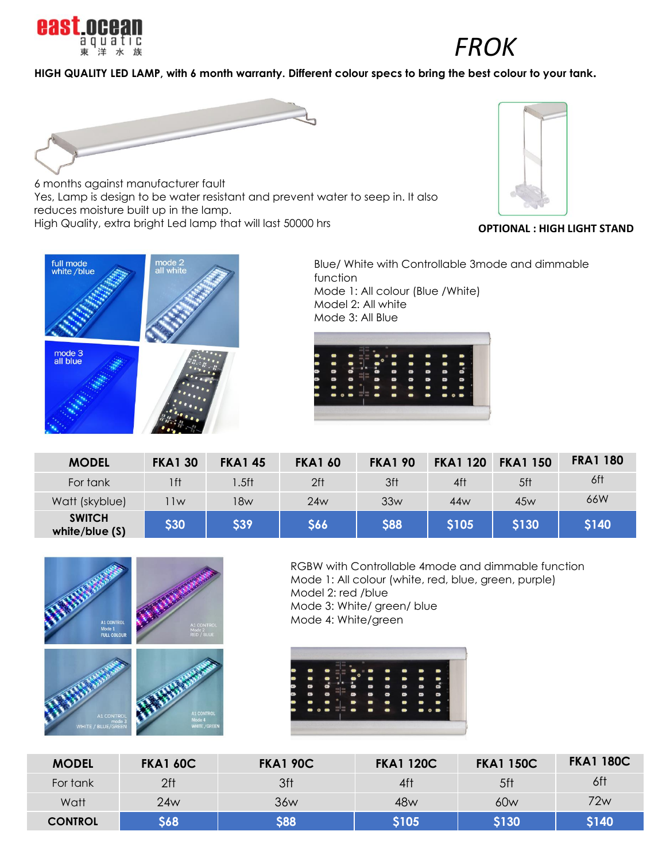

## *FROK*

### **HIGH QUALITY LED LAMP, with 6 month warranty. Different colour specs to bring the best colour to your tank.**



6 months against manufacturer fault Yes, Lamp is design to be water resistant and prevent water to seep in. It also reduces moisture built up in the lamp. High Quality, extra bright Led lamp that will last 50000 hrs



**OPTIONAL : HIGH LIGHT STAND**



Blue/ White with Controllable 3mode and dimmable function Mode 1: All colour (Blue /White) Model 2: All white Mode 3: All Blue



| <b>MODEL</b>                      | <b>FKA1 30</b> | <b>FKA145</b>    | <b>FKA1 60</b>  | <b>FKA1 90</b> | <b>FKA1 120</b> | <b>FKA1 150</b> | <b>FRA1 180</b> |
|-----------------------------------|----------------|------------------|-----------------|----------------|-----------------|-----------------|-----------------|
| For tank                          | 1 f t          | .5 <sub>ft</sub> | 2 <sup>ft</sup> | 3ft            | 4ft             | 5ft             | 6ft             |
| Watt (skyblue)                    | 1w             | 18w              | 24w             | 33w            | 44w             | 45w             | 66W             |
| <b>SWITCH</b><br>white/blue $(S)$ | \$30           | <b>S39</b>       | \$66            | <b>\$88</b>    | <b>S105</b>     | <b>S130</b>     | <b>S140</b>     |



RGBW with Controllable 4mode and dimmable function Mode 1: All colour (white, red, blue, green, purple) Model 2: red /blue Mode 3: White/ green/ blue Mode 4: White/green

|   |                                                            |     |   |           |                                                                                                                                        | -             |
|---|------------------------------------------------------------|-----|---|-----------|----------------------------------------------------------------------------------------------------------------------------------------|---------------|
|   |                                                            |     |   |           |                                                                                                                                        |               |
|   |                                                            |     |   |           |                                                                                                                                        |               |
|   |                                                            |     |   |           |                                                                                                                                        | o             |
|   | œ                                                          |     | ∍ | -         | ▬                                                                                                                                      | <b>SILLER</b> |
| - | $\begin{array}{ccc} \bullet & \circ & \bullet \end{array}$ | --- |   | $\bullet$ | $\begin{array}{c} \bullet \hspace{-0.1cm} \bullet \hspace{-0.1cm} \bullet \hspace{-0.1cm} \bullet \hspace{-0.1cm} \bullet \end{array}$ |               |

| <b>MODEL</b>   | <b>FKA1 60C</b> | <b>FKA1 90C</b> | <b>FKA1 120C</b> | <b>FKA1 150C</b> | <b>FKA1 180C</b> |
|----------------|-----------------|-----------------|------------------|------------------|------------------|
| For tank       | 2ft             | 3ft             | 4ft              | 5ft              | 6ft              |
| Watt           | 24w             | 36w             | 48w              | 60w              | 72w              |
| <b>CONTROL</b> | 668             | \$88            | \$105            | <b>\$130</b>     | <b>\$140</b>     |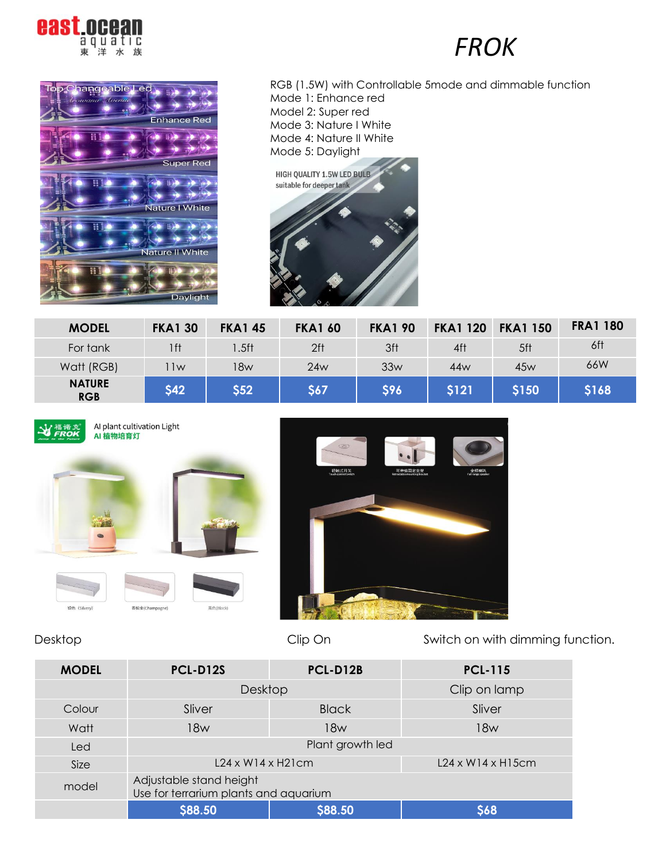



RGB (1.5W) with Controllable 5mode and dimmable function Mode 1: Enhance red Model 2: Super red Mode 3: Nature I White Mode 4: Nature II White Mode 5: Daylight



| <b>MODEL</b>                | <b>FKA1 30</b> | <b>FKA145</b> | <b>FKA1 60</b>  | <b>FKA1 90</b> | <b>FKA1 120</b> | <b>FKA1 150</b> | <b>FRA1 180</b> |
|-----------------------------|----------------|---------------|-----------------|----------------|-----------------|-----------------|-----------------|
| For tank                    | 1 f t          | .5ft          | 2 <sup>ft</sup> | 3ft            | 4ft             | 5ft             | 6ft             |
| Watt (RGB)                  | 1w             | 18w           | 24w             | 33w            | 44w             | 45w             | 66W             |
| <b>NATURE</b><br><b>RGB</b> | <b>\$42</b>    | \$52          | <b>S67</b>      | \$96           | \$121           | <b>\$150</b>    | \$168           |



AI plant cultivation Light AI 植物培育灯







Desktop Clip On Switch on with dimming function.

| <b>MODEL</b> | <b>PCL-D12S</b>                                                  | PCL-D12B                       | <b>PCL-115</b> |  |  |  |
|--------------|------------------------------------------------------------------|--------------------------------|----------------|--|--|--|
|              | Desktop                                                          | Clip on lamp                   |                |  |  |  |
| Colour       | Sliver                                                           | <b>Black</b>                   | Sliver         |  |  |  |
| Watt         | 18w                                                              | 18w                            | 18w            |  |  |  |
| Led          | Plant growth led                                                 |                                |                |  |  |  |
| Size         | $L24 \times W14 \times H21$ cm                                   | $L24 \times W14 \times H15$ cm |                |  |  |  |
| model        | Adjustable stand height<br>Use for terrarium plants and aquarium |                                |                |  |  |  |
|              | <b>\$88.50</b>                                                   | <b>S88.50</b>                  | <b>S68</b>     |  |  |  |

### *FROK*